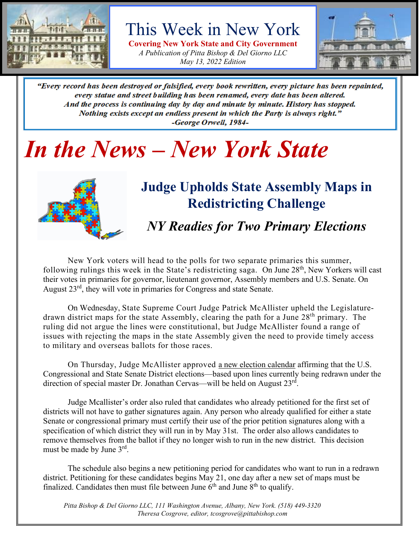

## This Week in New York

**Covering New York State and City Government** *A Publication of Pitta Bishop & Del Giorno LLC May 13, 2022 Edition*



"Every record has been destroyed or falsified, every book rewritten, every picture has been repainted, every statue and street building has been renamed, every date has been altered. And the process is continuing day by day and minute by minute. History has stopped. Nothing exists except an endless present in which the Party is always right." -George Orwell, 1984-

## *In the News – New York State*



### **Judge Upholds State Assembly Maps in Redistricting Challenge**

*NY Readies for Two Primary Elections*

New York voters will head to the polls for two separate primaries this summer, following rulings this week in the State's redistricting saga. On June  $28<sup>th</sup>$ , New Yorkers will cast their votes in primaries for governor, lieutenant governor, Assembly members and U.S. Senate. On August 23<sup>rd</sup>, they will vote in primaries for Congress and state Senate.

On Wednesday, State Supreme Court Judge Patrick McAllister upheld the Legislaturedrawn district maps for the state Assembly, clearing the path for a June  $28<sup>th</sup>$  primary. The ruling did not argue the lines were constitutional, but Judge McAllister found a range of issues with rejecting the maps in the state Assembly given the need to provide timely access to military and overseas ballots for those races.

On Thursday, Judge McAllister approved [a new election calendar](https://t.co/XQt6MJp3Eu) affirming that the U.S. Congressional and State Senate District elections—based upon lines currently being redrawn under the direction of special master Dr. Jonathan Cervas—will be held on August 23<sup>rd</sup>.

Judge Mcallister's order also ruled that candidates who already petitioned for the first set of districts will not have to gather signatures again. Any person who already qualified for either a state Senate or congressional primary must certify their use of the prior petition signatures along with a specification of which district they will run in by May 31st. The order also allows candidates to remove themselves from the ballot if they no longer wish to run in the new district. This decision must be made by June 3<sup>rd</sup>.

The schedule also begins a new petitioning period for candidates who want to run in a redrawn district. Petitioning for these candidates begins May 21, one day after a new set of maps must be finalized. Candidates then must file between June  $6<sup>th</sup>$  and June  $8<sup>th</sup>$  to qualify.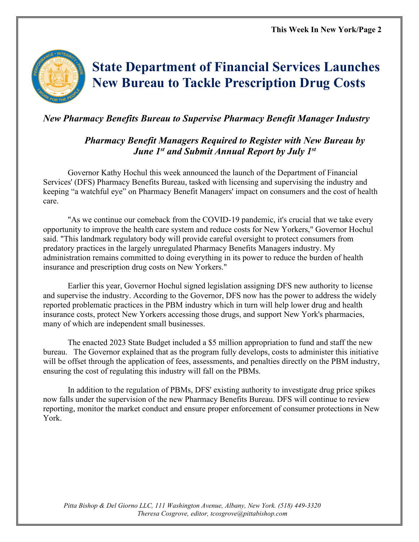

## **State Department of Financial Services Launches New Bureau to Tackle Prescription Drug Costs**

#### *New Pharmacy Benefits Bureau to Supervise Pharmacy Benefit Manager Industry*

#### *Pharmacy Benefit Managers Required to Register with New Bureau by June 1st and Submit Annual Report by July 1st*

Governor Kathy Hochul this week announced the launch of the Department of Financial Services' (DFS) Pharmacy Benefits Bureau, tasked with licensing and supervising the industry and keeping "a watchful eye" on Pharmacy Benefit Managers' impact on consumers and the cost of health care.

"As we continue our comeback from the COVID-19 pandemic, it's crucial that we take every opportunity to improve the health care system and reduce costs for New Yorkers," Governor Hochul said. "This landmark regulatory body will provide careful oversight to protect consumers from predatory practices in the largely unregulated Pharmacy Benefits Managers industry. My administration remains committed to doing everything in its power to reduce the burden of health insurance and prescription drug costs on New Yorkers."

Earlier this year, Governor Hochul signed legislation assigning DFS new authority to license and supervise the industry. According to the Governor, DFS now has the power to address the widely reported problematic practices in the PBM industry which in turn will help lower drug and health insurance costs, protect New Yorkers accessing those drugs, and support New York's pharmacies, many of which are independent small businesses.

The enacted 2023 State Budget included a \$5 million appropriation to fund and staff the new bureau. The Governor explained that as the program fully develops, costs to administer this initiative will be offset through the application of fees, assessments, and penalties directly on the PBM industry, ensuring the cost of regulating this industry will fall on the PBMs.

In addition to the regulation of PBMs, DFS' existing authority to investigate drug price spikes now falls under the supervision of the new Pharmacy Benefits Bureau. DFS will continue to review reporting, monitor the market conduct and ensure proper enforcement of consumer protections in New York.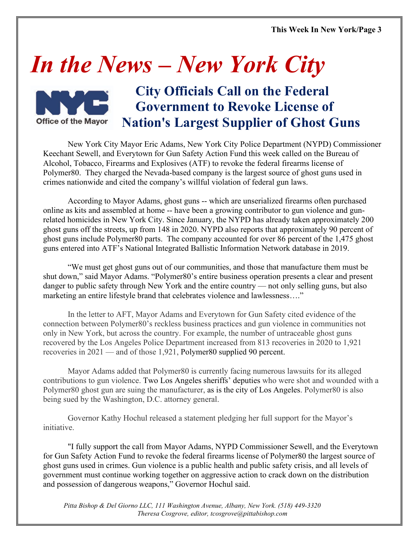**This Week In New York/Page 3**

## *In the News – New York City*



### **City Officials Call on the Federal Government to Revoke License of Nation's Largest Supplier of Ghost Guns**

New York City Mayor Eric Adams, New York City Police Department (NYPD) Commissioner Keechant Sewell, and Everytown for Gun Safety Action Fund this week called on the Bureau of Alcohol, Tobacco, Firearms and Explosives (ATF) to revoke the federal firearms license of Polymer80. They charged the Nevada-based company is the largest source of ghost guns used in crimes nationwide and cited the company's willful violation of federal gun laws.

According to Mayor Adams, ghost guns -- which are unserialized firearms often purchased online as kits and assembled at home -- have been a growing contributor to gun violence and gunrelated homicides in New York City. Since January, the NYPD has already taken approximately 200 ghost guns off the streets, up from 148 in 2020. NYPD also reports that approximately 90 percent of ghost guns include Polymer80 parts. The company accounted for over 86 percent of the 1,475 ghost guns entered into ATF's National Integrated Ballistic Information Network database in 2019.

"We must get ghost guns out of our communities, and those that manufacture them must be shut down," said Mayor Adams. "Polymer80's entire business operation presents a clear and present danger to public safety through New York and the entire country — not only selling guns, but also marketing an entire lifestyle brand that celebrates violence and lawlessness…."

In the letter to AFT, Mayor Adams and Everytown for Gun Safety cited evidence of the connection between Polymer80's reckless business practices and gun violence in communities not only in New York, but across the country. For example, the number of untraceable ghost guns recovered by the Los Angeles Police Department increased from 813 recoveries in 2020 to 1,921 recoveries in 2021 — and of those 1,921, Polymer80 supplied 90 percent.

Mayor Adams added that Polymer80 is currently facing numerous lawsuits for its alleged contributions to gun violence. Two Los Angeles sheriffs' deputies who were shot and wounded with a Polymer80 ghost gun are suing the manufacturer, as is the city of Los Angeles. Polymer80 is also being sued by the Washington, D.C. attorney general.

Governor Kathy Hochul released a statement pledging her full support for the Mayor's initiative.

"I fully support the call from Mayor Adams, NYPD Commissioner Sewell, and the Everytown for Gun Safety Action Fund to revoke the federal firearms license of Polymer80 the largest source of ghost guns used in crimes. Gun violence is a public health and public safety crisis, and all levels of government must continue working together on aggressive action to crack down on the distribution and possession of dangerous weapons," Governor Hochul said.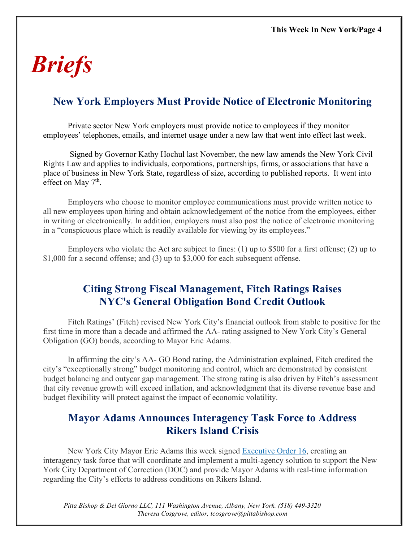## *Briefs*

#### **New York Employers Must Provide Notice of Electronic Monitoring**

Private sector New York employers must provide notice to employees if they monitor employees' telephones, emails, and internet usage under a new law that went into effect last week.

Signed by Governor Kathy Hochul last November, the [new](https://protect-us.mimecast.com/s/G2XfCgJQQgSMNJVTN-X2R) law amends the New York Civil Rights Law and applies to individuals, corporations, partnerships, firms, or associations that have a place of business in New York State, regardless of size, according to published reports. It went into effect on May  $7<sup>th</sup>$ .

Employers who choose to monitor employee communications must provide written notice to all new employees upon hiring and obtain acknowledgement of the notice from the employees, either in writing or electronically. In addition, employers must also post the notice of electronic monitoring in a "conspicuous place which is readily available for viewing by its employees."

Employers who violate the Act are subject to fines: (1) up to \$500 for a first offense; (2) up to \$1,000 for a second offense; and (3) up to \$3,000 for each subsequent offense.

#### **Citing Strong Fiscal Management, Fitch Ratings Raises NYC's General Obligation Bond Credit Outlook**

Fitch Ratings' (Fitch) revised New York City's financial outlook from stable to positive for the first time in more than a decade and affirmed the AA- rating assigned to New York City's General Obligation (GO) bonds, according to Mayor Eric Adams.

In affirming the city's AA- GO Bond rating, the Administration explained, Fitch credited the city's "exceptionally strong" budget monitoring and control, which are demonstrated by consistent budget balancing and outyear gap management. The strong rating is also driven by Fitch's assessment that city revenue growth will exceed inflation, and acknowledgment that its diverse revenue base and budget flexibility will protect against the impact of economic volatility.

#### **Mayor Adams Announces Interagency Task Force to Address Rikers Island Crisis**

New York City Mayor Eric Adams this week signed [Executive Order 16,](https://www1.nyc.gov/office-of-the-mayor/news/016-002/executive-order-16) creating an interagency task force that will coordinate and implement a multi-agency solution to support the New York City Department of Correction (DOC) and provide Mayor Adams with real-time information regarding the City's efforts to address conditions on Rikers Island.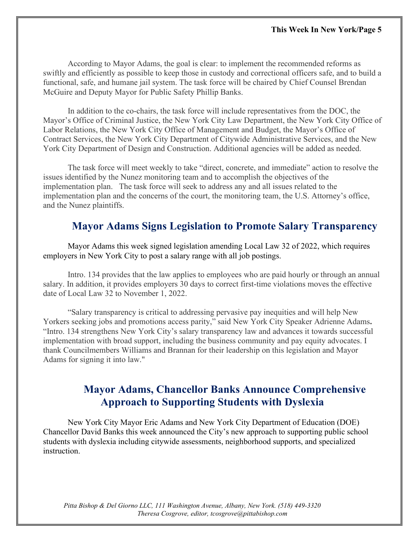According to Mayor Adams, the goal is clear: to implement the recommended reforms as swiftly and efficiently as possible to keep those in custody and correctional officers safe, and to build a functional, safe, and humane jail system. The task force will be chaired by Chief Counsel Brendan McGuire and Deputy Mayor for Public Safety Phillip Banks.

In addition to the co-chairs, the task force will include representatives from the DOC, the Mayor's Office of Criminal Justice, the New York City Law Department, the New York City Office of Labor Relations, the New York City Office of Management and Budget, the Mayor's Office of Contract Services, the New York City Department of Citywide Administrative Services, and the New York City Department of Design and Construction. Additional agencies will be added as needed.

The task force will meet weekly to take "direct, concrete, and immediate" action to resolve the issues identified by the Nunez monitoring team and to accomplish the objectives of the implementation plan. The task force will seek to address any and all issues related to the implementation plan and the concerns of the court, the monitoring team, the U.S. Attorney's office, and the Nunez plaintiffs.

#### **Mayor Adams Signs Legislation to Promote Salary Transparency**

Mayor Adams this week signed legislation amending Local Law 32 of 2022, which requires employers in New York City to post a salary range with all job postings.

Intro. 134 provides that the law applies to employees who are paid hourly or through an annual salary. In addition, it provides employers 30 days to correct first-time violations moves the effective date of Local Law 32 to November 1, 2022.

"Salary transparency is critical to addressing pervasive pay inequities and will help New Yorkers seeking jobs and promotions access parity," said New York City Speaker Adrienne Adams**.** "Intro. 134 strengthens New York City's salary transparency law and advances it towards successful implementation with broad support, including the business community and pay equity advocates. I thank Councilmembers Williams and Brannan for their leadership on this legislation and Mayor Adams for signing it into law."

#### **Mayor Adams, Chancellor Banks Announce Comprehensive Approach to Supporting Students with Dyslexia**

New York City Mayor Eric Adams and New York City Department of Education (DOE) Chancellor David Banks this week announced the City's new approach to supporting public school students with dyslexia including citywide assessments, neighborhood supports, and specialized instruction.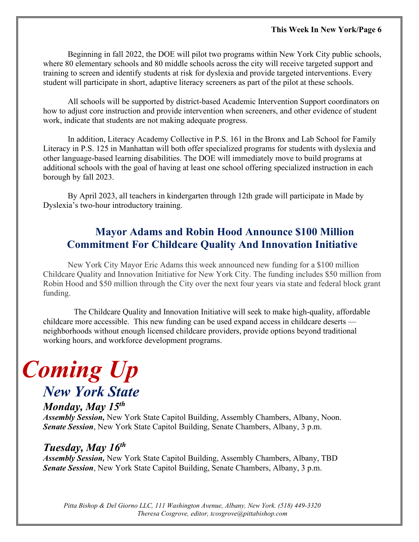Beginning in fall 2022, the DOE will pilot two programs within New York City public schools, where 80 elementary schools and 80 middle schools across the city will receive targeted support and training to screen and identify students at risk for dyslexia and provide targeted interventions. Every student will participate in short, adaptive literacy screeners as part of the pilot at these schools.

All schools will be supported by district-based Academic Intervention Support coordinators on how to adjust core instruction and provide intervention when screeners, and other evidence of student work, indicate that students are not making adequate progress.

In addition, Literacy Academy Collective in P.S. 161 in the Bronx and Lab School for Family Literacy in P.S. 125 in Manhattan will both offer specialized programs for students with dyslexia and other language-based learning disabilities. The DOE will immediately move to build programs at additional schools with the goal of having at least one school offering specialized instruction in each borough by fall 2023.

By April 2023, all teachers in kindergarten through 12th grade will participate in Made by Dyslexia's two-hour introductory training.

#### **Mayor Adams and Robin Hood Announce \$100 Million Commitment For Childcare Quality And Innovation Initiative**

New York City Mayor Eric Adams this week announced new funding for a \$100 million Childcare Quality and Innovation Initiative for New York City. The funding includes \$50 million from Robin Hood and \$50 million through the City over the next four years via state and federal block grant funding.

 The Childcare Quality and Innovation Initiative will seek to make high-quality, affordable childcare more accessible. This new funding can be used expand access in childcare deserts neighborhoods without enough licensed childcare providers, provide options beyond traditional working hours, and workforce development programs.

# *Coming Up*

## *New York State*

*Monday, May 15th*

*Assembly Session,* New York State Capitol Building, Assembly Chambers, Albany, Noon. *Senate Session*, New York State Capitol Building, Senate Chambers, Albany, 3 p.m.

#### *Tuesday, May 16th*

*Assembly Session,* New York State Capitol Building, Assembly Chambers, Albany, TBD *Senate Session*, New York State Capitol Building, Senate Chambers, Albany, 3 p.m.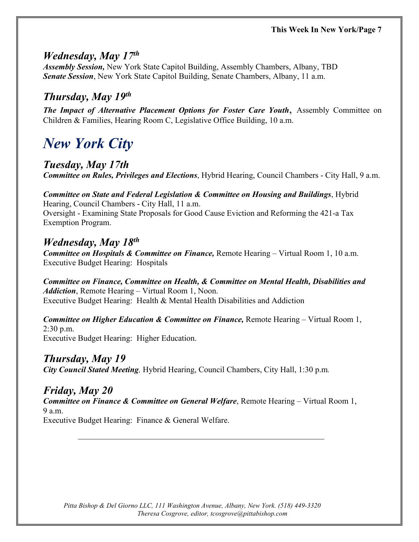#### *Wednesday, May 17th*

*Assembly Session,* New York State Capitol Building, Assembly Chambers, Albany, TBD *Senate Session*, New York State Capitol Building, Senate Chambers, Albany, 11 a.m.

#### *Thursday, May 19th*

*The Impact of Alternative Placement Options for Foster Care Youth*, Assembly Committee on Children & Families, Hearing Room C, Legislative Office Building, 10 a.m.

## *New York City*

#### *Tuesday, May 17th*

*Committee on Rules, Privileges and Elections*, Hybrid Hearing, Council Chambers - City Hall, 9 a.m.

*Committee on State and Federal Legislation & Committee on Housing and Buildings*, Hybrid Hearing, Council Chambers - City Hall, 11 a.m. Oversight - Examining State Proposals for Good Cause Eviction and Reforming the 421-a Tax Exemption Program.

#### *Wednesday, May 18th*

*Committee on Hospitals & Committee on Finance,* Remote Hearing – Virtual Room 1, 10 a.m. Executive Budget Hearing: Hospitals

*Committee on Finance, Committee on Health, & Committee on Mental Health, Disabilities and Addiction*, Remote Hearing – Virtual Room 1, Noon. Executive Budget Hearing: Health & Mental Health Disabilities and Addiction

*Committee on Higher Education & Committee on Finance,* Remote Hearing – Virtual Room 1, 2:30 p.m. Executive Budget Hearing: Higher Education.

#### *Thursday, May 19*

*City Council Stated Meeting,* Hybrid Hearing, Council Chambers, City Hall, 1:30 p.m*.*

 $\mathcal{L}_\text{max} = \frac{1}{2} \sum_{i=1}^{n} \frac{1}{2} \sum_{i=1}^{n} \frac{1}{2} \sum_{i=1}^{n} \frac{1}{2} \sum_{i=1}^{n} \frac{1}{2} \sum_{i=1}^{n} \frac{1}{2} \sum_{i=1}^{n} \frac{1}{2} \sum_{i=1}^{n} \frac{1}{2} \sum_{i=1}^{n} \frac{1}{2} \sum_{i=1}^{n} \frac{1}{2} \sum_{i=1}^{n} \frac{1}{2} \sum_{i=1}^{n} \frac{1}{2} \sum_{i=1}^{n} \frac{1$ 

#### *Friday, May 20*

*Committee on Finance & Committee on General Welfare*, Remote Hearing – Virtual Room 1, 9 a.m.

Executive Budget Hearing: Finance & General Welfare.